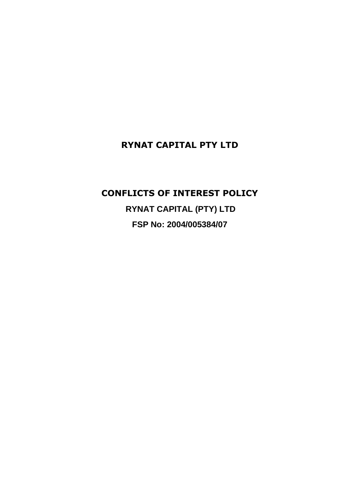# **RYNAT CAPITAL PTY LTD**

## **CONFLICTS OF INTEREST POLICY**

**RYNAT CAPITAL (PTY) LTD FSP No: 2004/005384/07**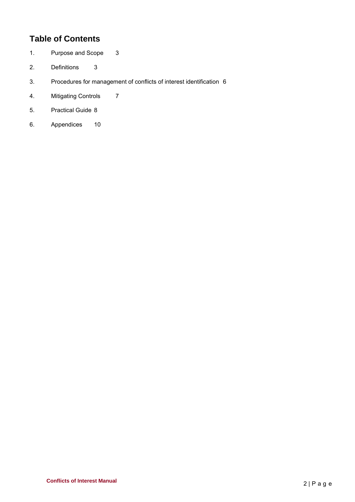# **Table of Contents**

- 1. Purpose and Scope 3
- 2. Definitions 3
- 3. Procedures for management of conflicts of interest identification 6
- 4. Mitigating Controls 7
- 5. Practical Guide 8
- 6. Appendices 10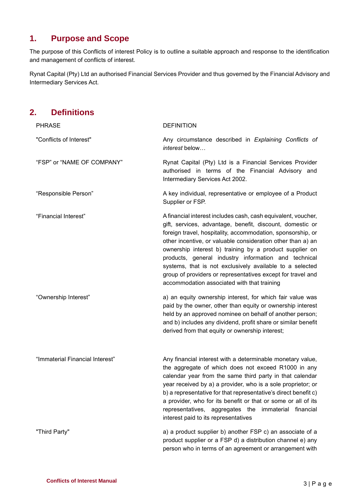## **1. Purpose and Scope**

The purpose of this Conflicts of interest Policy is to outline a suitable approach and response to the identification and management of conflicts of interest.

Rynat Capital (Pty) Ltd an authorised Financial Services Provider and thus governed by the Financial Advisory and Intermediary Services Act.

## **2. Definitions**

| <b>PHRASE</b>                   | <b>DEFINITION</b>                                                                                                                                                                                                                                                                                                                                                                                                                                                                                                                                     |  |  |
|---------------------------------|-------------------------------------------------------------------------------------------------------------------------------------------------------------------------------------------------------------------------------------------------------------------------------------------------------------------------------------------------------------------------------------------------------------------------------------------------------------------------------------------------------------------------------------------------------|--|--|
| "Conflicts of Interest"         | Any circumstance described in Explaining Conflicts of<br>interest below                                                                                                                                                                                                                                                                                                                                                                                                                                                                               |  |  |
| "FSP" or "NAME OF COMPANY"      | Rynat Capital (Pty) Ltd is a Financial Services Provider<br>authorised in terms of the Financial Advisory and<br>Intermediary Services Act 2002.                                                                                                                                                                                                                                                                                                                                                                                                      |  |  |
| "Responsible Person"            | A key individual, representative or employee of a Product<br>Supplier or FSP.                                                                                                                                                                                                                                                                                                                                                                                                                                                                         |  |  |
| "Financial Interest"            | A financial interest includes cash, cash equivalent, voucher,<br>gift, services, advantage, benefit, discount, domestic or<br>foreign travel, hospitality, accommodation, sponsorship, or<br>other incentive, or valuable consideration other than a) an<br>ownership interest b) training by a product supplier on<br>products, general industry information and technical<br>systems, that is not exclusively available to a selected<br>group of providers or representatives except for travel and<br>accommodation associated with that training |  |  |
| "Ownership Interest"            | a) an equity ownership interest, for which fair value was<br>paid by the owner, other than equity or ownership interest<br>held by an approved nominee on behalf of another person;<br>and b) includes any dividend, profit share or similar benefit<br>derived from that equity or ownership interest;                                                                                                                                                                                                                                               |  |  |
| "Immaterial Financial Interest" | Any financial interest with a determinable monetary value,<br>the aggregate of which does not exceed R1000 in any<br>calendar year from the same third party in that calendar<br>year received by a) a provider, who is a sole proprietor; or<br>b) a representative for that representative's direct benefit c)<br>a provider, who for its benefit or that or some or all of its<br>representatives, aggregates the immaterial financial<br>interest paid to its representatives                                                                     |  |  |
| "Third Party"                   | a) a product supplier b) another FSP c) an associate of a<br>product supplier or a FSP d) a distribution channel e) any<br>person who in terms of an agreement or arrangement with                                                                                                                                                                                                                                                                                                                                                                    |  |  |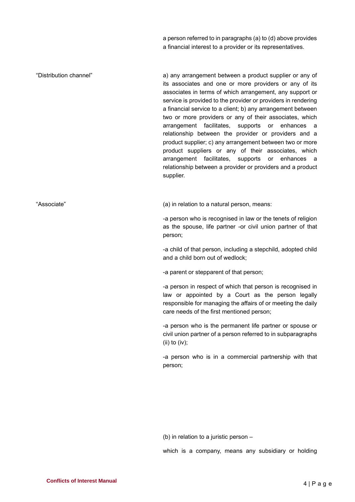a person referred to in paragraphs (a) to (d) above provides a financial interest to a provider or its representatives.

"Distribution channel" a) any arrangement between a product supplier or any of its associates and one or more providers or any of its associates in terms of which arrangement, any support or service is provided to the provider or providers in rendering a financial service to a client; b) any arrangement between two or more providers or any of their associates, which arrangement facilitates, supports or enhances a relationship between the provider or providers and a product supplier; c) any arrangement between two or more product suppliers or any of their associates, which arrangement facilitates, supports or enhances a relationship between a provider or providers and a product supplier.

"Associate" (a) in relation to a natural person, means:

-a person who is recognised in law or the tenets of religion as the spouse, life partner -or civil union partner of that person;

-a child of that person, including a stepchild, adopted child and a child born out of wedlock;

-a parent or stepparent of that person;

-a person in respect of which that person is recognised in law or appointed by a Court as the person legally responsible for managing the affairs of or meeting the daily care needs of the first mentioned person;

-a person who is the permanent life partner or spouse or civil union partner of a person referred to in subparagraphs (ii) to (iv);

-a person who is in a commercial partnership with that person;

(b) in relation to a juristic person –

which is a company, means any subsidiary or holding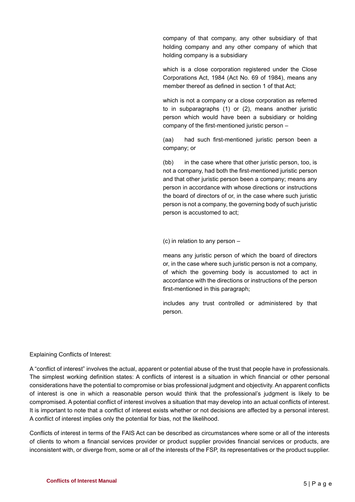company of that company, any other subsidiary of that holding company and any other company of which that holding company is a subsidiary

which is a close corporation registered under the Close Corporations Act, 1984 (Act No. 69 of 1984), means any member thereof as defined in section 1 of that Act;

which is not a company or a close corporation as referred to in subparagraphs (1) or (2), means another juristic person which would have been a subsidiary or holding company of the first-mentioned juristic person –

(aa) had such first-mentioned juristic person been a company; or

(bb) in the case where that other juristic person, too, is not a company, had both the first-mentioned juristic person and that other juristic person been a company; means any person in accordance with whose directions or instructions the board of directors of or, in the case where such juristic person is not a company, the governing body of such juristic person is accustomed to act;

(c) in relation to any person –

means any juristic person of which the board of directors or, in the case where such juristic person is not a company, of which the governing body is accustomed to act in accordance with the directions or instructions of the person first-mentioned in this paragraph;

includes any trust controlled or administered by that person.

Explaining Conflicts of Interest:

A "conflict of interest" involves the actual, apparent or potential abuse of the trust that people have in professionals. The simplest working definition states: A conflicts of interest is a situation in which financial or other personal considerations have the potential to compromise or bias professional judgment and objectivity. An apparent conflicts of interest is one in which a reasonable person would think that the professional's judgment is likely to be compromised. A potential conflict of interest involves a situation that may develop into an actual conflicts of interest. It is important to note that a conflict of interest exists whether or not decisions are affected by a personal interest. A conflict of interest implies only the potential for bias, not the likelihood.

Conflicts of interest in terms of the FAIS Act can be described as circumstances where some or all of the interests of clients to whom a financial services provider or product supplier provides financial services or products, are inconsistent with, or diverge from, some or all of the interests of the FSP, its representatives or the product supplier.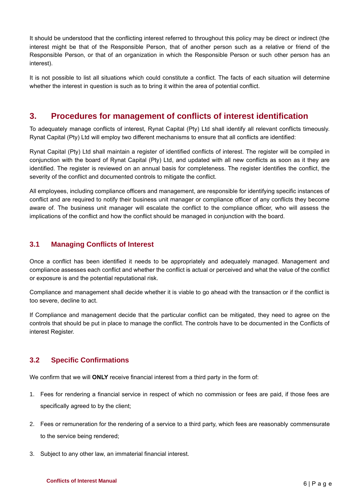It should be understood that the conflicting interest referred to throughout this policy may be direct or indirect (the interest might be that of the Responsible Person, that of another person such as a relative or friend of the Responsible Person, or that of an organization in which the Responsible Person or such other person has an interest).

It is not possible to list all situations which could constitute a conflict. The facts of each situation will determine whether the interest in question is such as to bring it within the area of potential conflict.

### **3. Procedures for management of conflicts of interest identification**

To adequately manage conflicts of interest, Rynat Capital (Pty) Ltd shall identify all relevant conflicts timeously. Rynat Capital (Pty) Ltd will employ two different mechanisms to ensure that all conflicts are identified:

Rynat Capital (Pty) Ltd shall maintain a register of identified conflicts of interest. The register will be compiled in conjunction with the board of Rynat Capital (Pty) Ltd, and updated with all new conflicts as soon as it they are identified. The register is reviewed on an annual basis for completeness. The register identifies the conflict, the severity of the conflict and documented controls to mitigate the conflict.

All employees, including compliance officers and management, are responsible for identifying specific instances of conflict and are required to notify their business unit manager or compliance officer of any conflicts they become aware of. The business unit manager will escalate the conflict to the compliance officer, who will assess the implications of the conflict and how the conflict should be managed in conjunction with the board.

### **3.1 Managing Conflicts of Interest**

Once a conflict has been identified it needs to be appropriately and adequately managed. Management and compliance assesses each conflict and whether the conflict is actual or perceived and what the value of the conflict or exposure is and the potential reputational risk.

Compliance and management shall decide whether it is viable to go ahead with the transaction or if the conflict is too severe, decline to act.

If Compliance and management decide that the particular conflict can be mitigated, they need to agree on the controls that should be put in place to manage the conflict. The controls have to be documented in the Conflicts of interest Register.

### **3.2 Specific Confirmations**

We confirm that we will **ONLY** receive financial interest from a third party in the form of:

- 1. Fees for rendering a financial service in respect of which no commission or fees are paid, if those fees are specifically agreed to by the client;
- 2. Fees or remuneration for the rendering of a service to a third party, which fees are reasonably commensurate to the service being rendered;
- 3. Subject to any other law, an immaterial financial interest.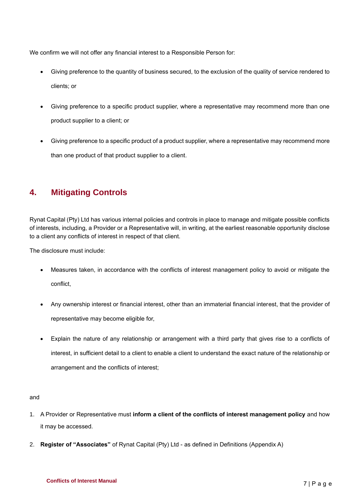We confirm we will not offer any financial interest to a Responsible Person for:

- Giving preference to the quantity of business secured, to the exclusion of the quality of service rendered to clients; or
- Giving preference to a specific product supplier, where a representative may recommend more than one product supplier to a client; or
- Giving preference to a specific product of a product supplier, where a representative may recommend more than one product of that product supplier to a client.

## **4. Mitigating Controls**

Rynat Capital (Pty) Ltd has various internal policies and controls in place to manage and mitigate possible conflicts of interests, including, a Provider or a Representative will, in writing, at the earliest reasonable opportunity disclose to a client any conflicts of interest in respect of that client.

The disclosure must include:

- Measures taken, in accordance with the conflicts of interest management policy to avoid or mitigate the conflict,
- Any ownership interest or financial interest, other than an immaterial financial interest, that the provider of representative may become eligible for,
- Explain the nature of any relationship or arrangement with a third party that gives rise to a conflicts of interest, in sufficient detail to a client to enable a client to understand the exact nature of the relationship or arrangement and the conflicts of interest;

#### and

- 1. A Provider or Representative must **inform a client of the conflicts of interest management policy** and how it may be accessed.
- 2. **Register of "Associates"** of Rynat Capital (Pty) Ltd as defined in Definitions (Appendix A)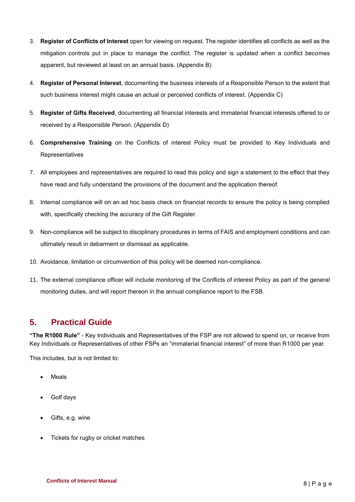- 3. **Register of Conflicts of Interest** open for viewing on request. The register identifies all conflicts as well as the mitigation controls put in place to manage the conflict. The register is updated when a conflict becomes apparent, but reviewed at least on an annual basis. (Appendix B)
- 4. **Register of Personal Interest**, documenting the business interests of a Responsible Person to the extent that such business interest might cause an actual or perceived conflicts of interest. (Appendix C)
- 5. **Register of Gifts Received**, documenting all financial interests and immaterial financial interests offered to or received by a Responsible Person. (Appendix D)
- 6. **Comprehensive Training** on the Conflicts of interest Policy must be provided to Key Individuals and Representatives
- 7. All employees and representatives are required to read this policy and sign a statement to the effect that they have read and fully understand the provisions of the document and the application thereof.
- 8. Internal compliance will on an ad hoc basis check on financial records to ensure the policy is being complied with, specifically checking the accuracy of the Gift Register.
- 9. Non-compliance will be subject to disciplinary procedures in terms of FAIS and employment conditions and can ultimately result in debarment or dismissal as applicable.
- 10. Avoidance, limitation or circumvention of this policy will be deemed non-compliance.
- 11. The external compliance officer will include monitoring of the Conflicts of interest Policy as part of the general monitoring duties, and will report thereon in the annual compliance report to the FSB.

### **5. Practical Guide**

**"The R1000 Rule"** - Key Individuals and Representatives of the FSP are not allowed to spend on, or receive from Key Individuals or Representatives of other FSPs an "immaterial financial interest" of more than R1000 per year.

This includes, but is not limited to:

- **Meals**
- Golf days
- Gifts, e.g. wine
- Tickets for rugby or cricket matches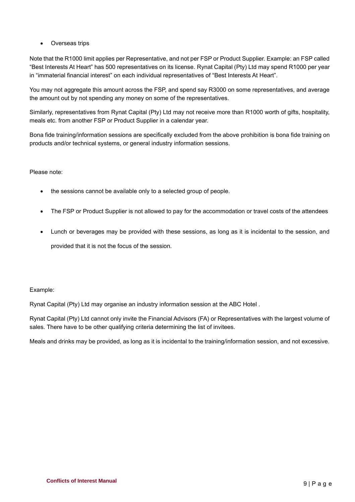• Overseas trips

Note that the R1000 limit applies per Representative, and not per FSP or Product Supplier. Example: an FSP called "Best Interests At Heart" has 500 representatives on its license. Rynat Capital (Pty) Ltd may spend R1000 per year in "immaterial financial interest" on each individual representatives of "Best Interests At Heart".

You may not aggregate this amount across the FSP, and spend say R3000 on some representatives, and average the amount out by not spending any money on some of the representatives.

Similarly, representatives from Rynat Capital (Pty) Ltd may not receive more than R1000 worth of gifts, hospitality, meals etc. from another FSP or Product Supplier in a calendar year.

Bona fide training/information sessions are specifically excluded from the above prohibition is bona fide training on products and/or technical systems, or general industry information sessions.

#### Please note:

- the sessions cannot be available only to a selected group of people.
- The FSP or Product Supplier is not allowed to pay for the accommodation or travel costs of the attendees
- Lunch or beverages may be provided with these sessions, as long as it is incidental to the session, and provided that it is not the focus of the session.

#### Example:

Rynat Capital (Pty) Ltd may organise an industry information session at the ABC Hotel .

Rynat Capital (Pty) Ltd cannot only invite the Financial Advisors (FA) or Representatives with the largest volume of sales. There have to be other qualifying criteria determining the list of invitees.

Meals and drinks may be provided, as long as it is incidental to the training/information session, and not excessive.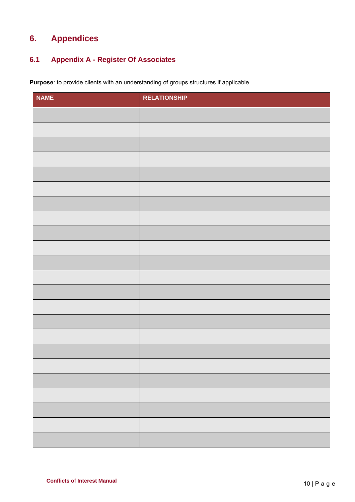# **6. Appendices**

### **6.1 Appendix A - Register Of Associates**

**Purpose**: to provide clients with an understanding of groups structures if applicable

| <b>NAME</b> | <b>RELATIONSHIP</b> |
|-------------|---------------------|
|             |                     |
|             |                     |
|             |                     |
|             |                     |
|             |                     |
|             |                     |
|             |                     |
|             |                     |
|             |                     |
|             |                     |
|             |                     |
|             |                     |
|             |                     |
|             |                     |
|             |                     |
|             |                     |
|             |                     |
|             |                     |
|             |                     |
|             |                     |
|             |                     |
|             |                     |
|             |                     |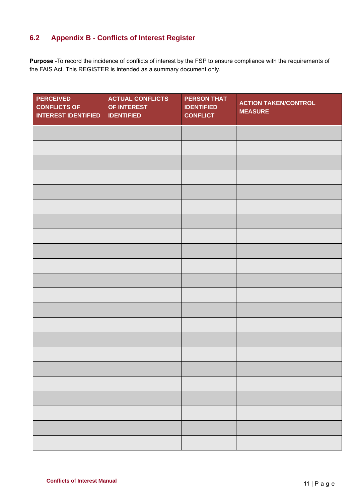### **6.2 Appendix B - Conflicts of Interest Register**

**Purpose** -To record the incidence of conflicts of interest by the FSP to ensure compliance with the requirements of the FAIS Act. This REGISTER is intended as a summary document only.

| <b>PERCEIVED</b><br><b>CONFLICTS OF</b><br><b>INTEREST IDENTIFIED</b> | <b>ACTUAL CONFLICTS</b><br>OF INTEREST<br><b>IDENTIFIED</b> | <b>PERSON THAT</b><br><b>IDENTIFIED</b><br><b>CONFLICT</b> | <b>ACTION TAKEN/CONTROL</b><br><b>MEASURE</b> |
|-----------------------------------------------------------------------|-------------------------------------------------------------|------------------------------------------------------------|-----------------------------------------------|
|                                                                       |                                                             |                                                            |                                               |
|                                                                       |                                                             |                                                            |                                               |
|                                                                       |                                                             |                                                            |                                               |
|                                                                       |                                                             |                                                            |                                               |
|                                                                       |                                                             |                                                            |                                               |
|                                                                       |                                                             |                                                            |                                               |
|                                                                       |                                                             |                                                            |                                               |
|                                                                       |                                                             |                                                            |                                               |
|                                                                       |                                                             |                                                            |                                               |
|                                                                       |                                                             |                                                            |                                               |
|                                                                       |                                                             |                                                            |                                               |
|                                                                       |                                                             |                                                            |                                               |
|                                                                       |                                                             |                                                            |                                               |
|                                                                       |                                                             |                                                            |                                               |
|                                                                       |                                                             |                                                            |                                               |
|                                                                       |                                                             |                                                            |                                               |
|                                                                       |                                                             |                                                            |                                               |
|                                                                       |                                                             |                                                            |                                               |
|                                                                       |                                                             |                                                            |                                               |
|                                                                       |                                                             |                                                            |                                               |
|                                                                       |                                                             |                                                            |                                               |
|                                                                       |                                                             |                                                            |                                               |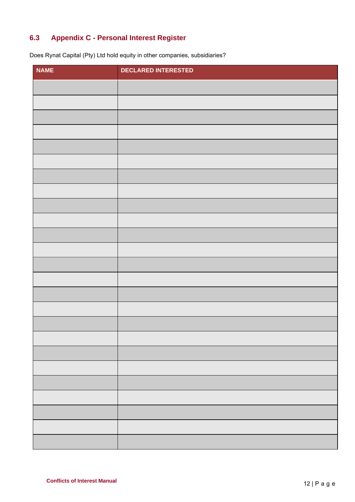### **6.3 Appendix C - Personal Interest Register**

Does Rynat Capital (Pty) Ltd hold equity in other companies, subsidiaries?

| <b>NAME</b> | <b>DECLARED INTERESTED</b> |
|-------------|----------------------------|
|             |                            |
|             |                            |
|             |                            |
|             |                            |
|             |                            |
|             |                            |
|             |                            |
|             |                            |
|             |                            |
|             |                            |
|             |                            |
|             |                            |
|             |                            |
|             |                            |
|             |                            |
|             |                            |
|             |                            |
|             |                            |
|             |                            |
|             |                            |
|             |                            |
|             |                            |
|             |                            |
|             |                            |
|             |                            |